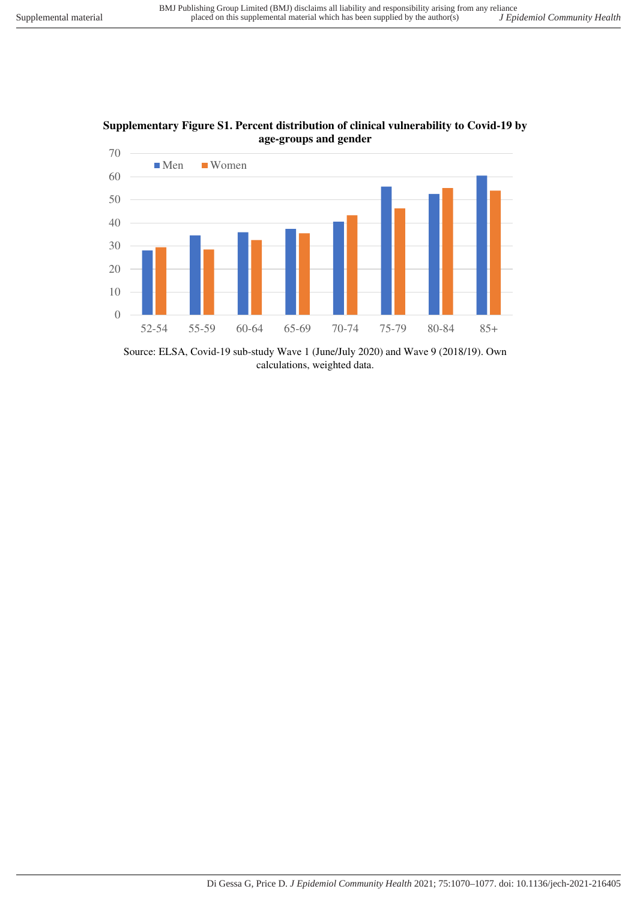

**Supplementary Figure S1. Percent distribution of clinical vulnerability to Covid-19 by age-groups and gender** 

Source: ELSA, Covid-19 sub-study Wave 1 (June/July 2020) and Wave 9 (2018/19). Own calculations, weighted data.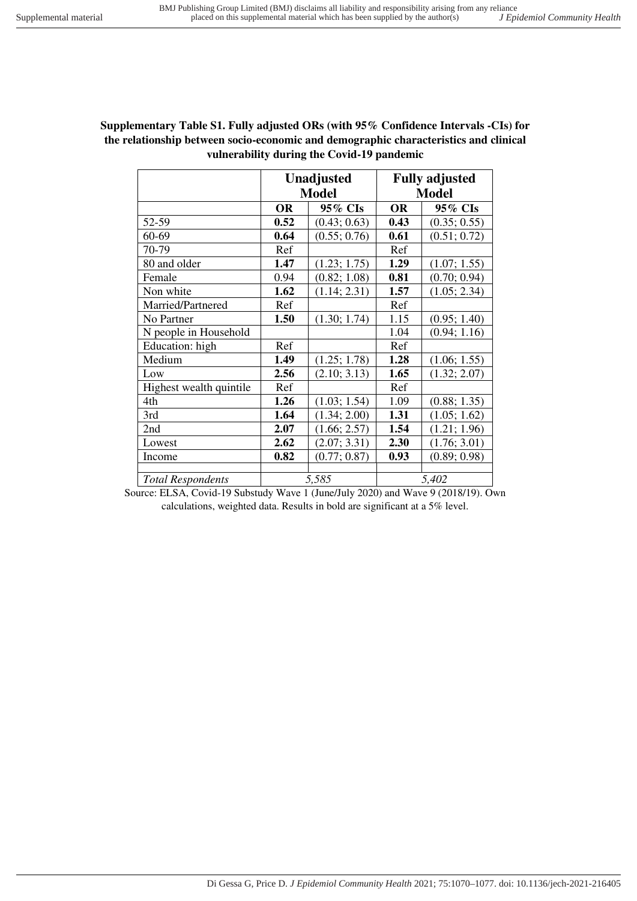## **Supplementary Table S1. Fully adjusted ORs (with 95% Confidence Intervals -CIs) for the relationship between socio-economic and demographic characteristics and clinical vulnerability during the Covid-19 pandemic**

|                          |              | <b>Unadjusted</b> | <b>Fully adjusted</b> |              |  |
|--------------------------|--------------|-------------------|-----------------------|--------------|--|
|                          | <b>Model</b> |                   | <b>Model</b>          |              |  |
|                          | <b>OR</b>    | 95% CIs           | <b>OR</b>             | 95% CIs      |  |
| 52-59                    | 0.52         | (0.43; 0.63)      | 0.43                  | (0.35; 0.55) |  |
| 60-69                    | 0.64         | (0.55; 0.76)      | 0.61                  | (0.51; 0.72) |  |
| 70-79                    | Ref          |                   | Ref                   |              |  |
| 80 and older             | 1.47         | (1.23; 1.75)      | 1.29                  | (1.07; 1.55) |  |
| Female                   | 0.94         | (0.82; 1.08)      | 0.81                  | (0.70; 0.94) |  |
| Non white                | 1.62         | (1.14; 2.31)      | 1.57                  | (1.05; 2.34) |  |
| Married/Partnered        | Ref          |                   | Ref                   |              |  |
| No Partner               | 1.50         | (1.30; 1.74)      | 1.15                  | (0.95; 1.40) |  |
| N people in Household    |              |                   | 1.04                  | (0.94; 1.16) |  |
| Education: high          | Ref          |                   | Ref                   |              |  |
| Medium                   | 1.49         | (1.25; 1.78)      | 1.28                  | (1.06; 1.55) |  |
| Low                      | 2.56         | (2.10; 3.13)      | 1.65                  | (1.32; 2.07) |  |
| Highest wealth quintile  | Ref          |                   | Ref                   |              |  |
| 4th                      | 1.26         | (1.03; 1.54)      | 1.09                  | (0.88; 1.35) |  |
| 3rd                      | 1.64         | (1.34; 2.00)      | 1.31                  | (1.05; 1.62) |  |
| 2nd                      | 2.07         | (1.66; 2.57)      | 1.54                  | (1.21; 1.96) |  |
| Lowest                   | 2.62         | (2.07; 3.31)      | 2.30                  | (1.76; 3.01) |  |
| Income                   | 0.82         | (0.77; 0.87)      | 0.93                  | (0.89; 0.98) |  |
|                          |              |                   |                       |              |  |
| <b>Total Respondents</b> | 5,585        |                   | 5,402                 |              |  |

Source: ELSA, Covid-19 Substudy Wave 1 (June/July 2020) and Wave 9 (2018/19). Own calculations, weighted data. Results in bold are significant at a 5% level.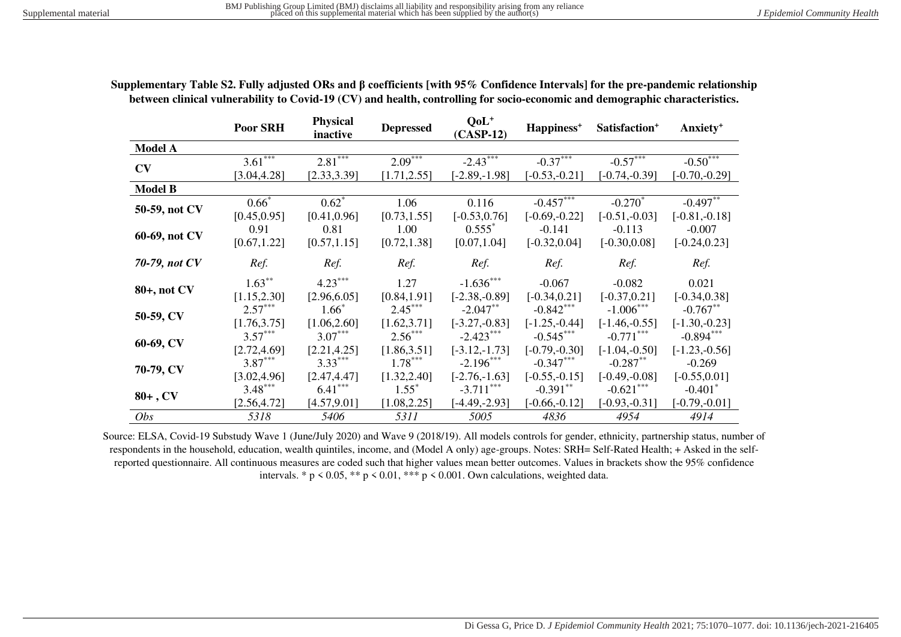|                | <b>Poor SRH</b> | <b>Physical</b><br>inactive | <b>Depressed</b> | $QoL^+$<br>$(CASP-12)$ | Happiness <sup>+</sup> | Satisfaction <sup>+</sup> | Anxiety <sup>+</sup>  |
|----------------|-----------------|-----------------------------|------------------|------------------------|------------------------|---------------------------|-----------------------|
| <b>Model A</b> |                 |                             |                  |                        |                        |                           |                       |
|                | $3.61***$       | $2.81***$                   | $2.09***$        | $-2.43***$             | $-0.37***$             | $-0.57***$                | $-0.50***$            |
| CV             | [3.04, 4.28]    | [2.33, 3.39]                | [1.71, 2.55]     | $[-2.89, -1.98]$       | $[-0.53,-0.21]$        | $[-0.74,-0.39]$           | $[-0.70,-0.29]$       |
| <b>Model B</b> |                 |                             |                  |                        |                        |                           |                       |
| 50-59, not CV  | $0.66*$         | $0.62^*$                    | 1.06             | 0.116                  | $-0.457***$            | $-0.270^*$                | $-0.497***$           |
|                | [0.45, 0.95]    | [0.41, 0.96]                | [0.73, 1.55]     | $[-0.53, 0.76]$        | $[-0.69,-0.22]$        | $[-0.51,-0.03]$           | $[-0.81,-0.18]$       |
|                | 0.91            | 0.81                        | 1.00             | $0.555*$               | $-0.141$               | $-0.113$                  | $-0.007$              |
| 60-69, not CV  | [0.67, 1.22]    | [0.57, 1.15]                | [0.72, 1.38]     | [0.07, 1.04]           | $[-0.32, 0.04]$        | $[-0.30, 0.08]$           | $[-0.24, 0.23]$       |
| 70-79, not CV  | Ref.            | Ref.                        | Ref.             | Ref.                   | Ref.                   | Ref.                      | Ref.                  |
| 80+, not CV    | $1.63***$       | $4.23***$                   | 1.27             | $-1.636***$            | $-0.067$               | $-0.082$                  | 0.021                 |
|                | [1.15, 2.30]    | [2.96, 6.05]                | [0.84, 1.91]     | $[-2.38,-0.89]$        | $[-0.34, 0.21]$        | $[-0.37, 0.21]$           | $[-0.34, 0.38]$       |
| 50-59, CV      | $2.57***$       | $1.66*$                     | $2.45***$        | $-2.047**$             | $-0.842***$            | $-1.006***$               | $-0.767**$            |
|                | [1.76, 3.75]    | [1.06, 2.60]                | [1.62, 3.71]     | $[-3.27,-0.83]$        | $[-1.25, -0.44]$       | $[-1.46,-0.55]$           | $[-1.30,-0.23]$       |
|                | $3.57***$       | $3.07***$                   | $2.56***$        | $-2.423***$            | $-0.545***$            | $-0.771$ ***              | $-0.894***$           |
| 60-69, CV      | [2.72, 4.69]    | [2.21, 4.25]                | [1.86, 3.51]     | $[-3.12,-1.73]$        | $[-0.79,-0.30]$        | $[-1.04, -0.50]$          | $[-1.23,-0.56]$       |
| 70-79, CV      | $3.87***$       | $3.33***$                   | $1.78***$        | $-2.196***$            | $-0.347***$            | $-0.287**$                | $-0.269$              |
|                | [3.02, 4.96]    | [2.47, 4.47]                | [1.32, 2.40]     | $[-2.76,-1.63]$        | $[-0.55,-0.15]$        | $[-0.49,-0.08]$           | $[-0.55, 0.01]$       |
| $80+$ , CV     | $3.48***$       | $6.41***$                   | $1.55^*$         | $-3.711***$            | $-0.391**$             | $-0.621***$               | $-0.401$ <sup>*</sup> |
|                | [2.56, 4.72]    | [4.57, 9.01]                | [1.08, 2.25]     | $[-4.49,-2.93]$        | $[-0.66,-0.12]$        | $[-0.93,-0.31]$           | $[-0.79,-0.01]$       |
| Obs            | 5318            | 5406                        | 5311             | 5005                   | 4836                   | 4954                      | 4914                  |

**Supplementary Table S2. Fully adjusted ORs and β coefficients [with 95% Confidence Intervals] for the pre-pandemic relationship between clinical vulnerability to Covid-19 (CV) and health, controlling for socio-economic and demographic characteristics.** 

Source: ELSA, Covid-19 Substudy Wave 1 (June/July 2020) and Wave 9 (2018/19). All models controls for gender, ethnicity, partnership status, number of respondents in the household, education, wealth quintiles, income, and (Model A only) age-groups. Notes: SRH= Self-Rated Health; + Asked in the selfreported questionnaire. All continuous measures are coded such that higher values mean better outcomes. Values in brackets show the 95% confidence intervals. \*  $p \le 0.05$ , \*\*  $p \le 0.01$ , \*\*\*  $p \le 0.001$ . Own calculations, weighted data.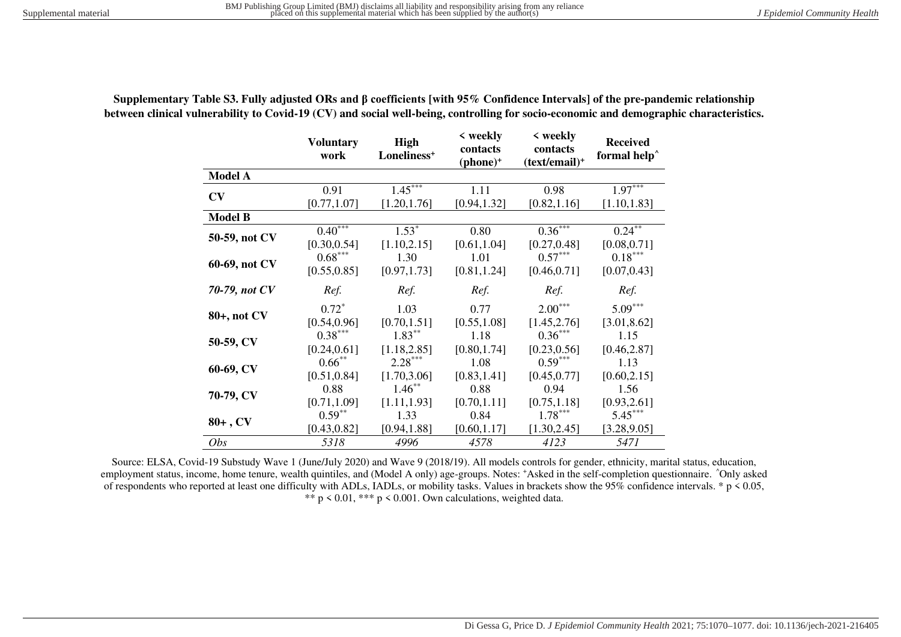|                | <b>Voluntary</b><br>work  | <b>High</b><br>Loneliness <sup>+</sup> | < weekly<br>contacts<br>$(phone)^+$ | $\langle$ weekly<br>contacts<br>$(text/email)^+$ | <b>Received</b><br>formal help <sup>^</sup> |
|----------------|---------------------------|----------------------------------------|-------------------------------------|--------------------------------------------------|---------------------------------------------|
| <b>Model A</b> |                           |                                        |                                     |                                                  |                                             |
| CV             | 0.91                      | $1.45***$                              | 1.11                                | 0.98                                             | $1.97***$                                   |
|                | [0.77, 1.07]              | [1.20, 1.76]                           | [0.94, 1.32]                        | [0.82, 1.16]                                     | [1.10, 1.83]                                |
| <b>Model B</b> |                           |                                        |                                     |                                                  |                                             |
| 50-59, not CV  | $0.40^{***}$              | $1.53*$                                | 0.80                                | $0.36***$                                        | $0.24$ <sup>**</sup>                        |
|                | [0.30, 0.54]              | [1.10, 2.15]                           | [0.61, 1.04]                        | [0.27, 0.48]                                     | [0.08, 0.71]                                |
| 60-69, not CV  | $0.68***$                 | 1.30                                   | 1.01                                | $0.57***$                                        | $0.18***$                                   |
|                | [0.55, 0.85]              | [0.97, 1.73]                           | [0.81, 1.24]                        | [0.46, 0.71]                                     | [0.07, 0.43]                                |
| 70-79, not CV  | Ref.                      | Ref.                                   | Ref.                                | Ref.                                             | Ref.                                        |
| 80+, not CV    | $0.72^*$<br>[0.54, 0.96]  | 1.03<br>[0.70, 1.51]                   | 0.77<br>[0.55, 1.08]                | $2.00***$<br>[1.45, 2.76]                        | $5.09***$<br>[3.01, 8.62]                   |
| 50-59, CV      | $0.38***$<br>[0.24, 0.61] | $1.83***$<br>[1.18, 2.85]              | 1.18<br>[0.80, 1.74]                | $0.36***$<br>[0.23, 0.56]                        | 1.15<br>[0.46, 2.87]                        |
| 60-69, CV      | $0.66***$<br>[0.51, 0.84] | $2.28***$<br>[1.70, 3.06]              | 1.08<br>[0.83, 1.41]                | $0.59***$<br>[0.45, 0.77]                        | 1.13<br>[0.60, 2.15]                        |
| 70-79, CV      | 0.88<br>[0.71, 1.09]      | $1.46***$<br>[1.11, 1.93]              | 0.88<br>[0.70, 1.11]                | 0.94<br>[0.75, 1.18]                             | 1.56<br>[0.93, 2.61]                        |
| $80+$ , CV     | $0.59***$                 | 1.33                                   | 0.84                                | $1.78***$                                        | $5.45***$                                   |
|                | [0.43, 0.82]              | [0.94, 1.88]                           | [0.60, 1.17]                        | [1.30, 2.45]                                     | [3.28, 9.05]                                |
| <i>Obs</i>     | 5318                      | 4996                                   | 4578                                | 4123                                             | 5471                                        |

**Supplementary Table S3. Fully adjusted ORs and β coefficients [with 95% Confidence Intervals] of the pre-pandemic relationship between clinical vulnerability to Covid-19 (CV) and social well-being, controlling for socio-economic and demographic characteristics.** 

Source: ELSA, Covid-19 Substudy Wave 1 (June/July 2020) and Wave 9 (2018/19). All models controls for gender, ethnicity, marital status, education, employment status, income, home tenure, wealth quintiles, and (Model A only) age-groups. Notes: \*Asked in the self-completion questionnaire. ^Only asked of respondents who reported at least one difficulty with ADLs, IADLs, or mobility tasks. Values in brackets show the 95% confidence intervals. \* p < 0.05, \*\*  $p \le 0.01$ , \*\*\*  $p \le 0.001$ . Own calculations, weighted data.